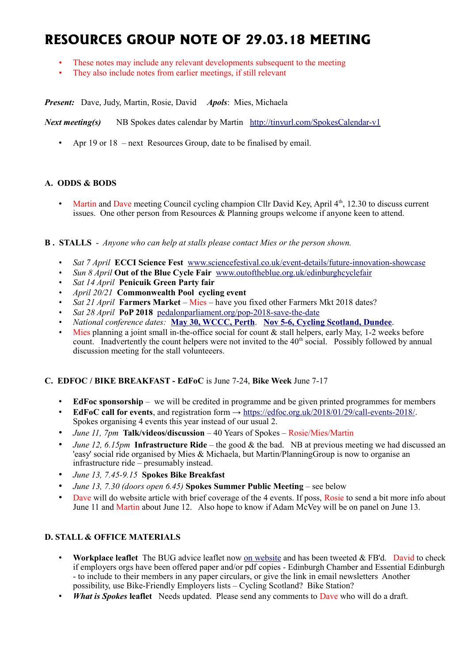# **RESOURCES GROUP NOTE OF 29.03.18 MEETING**

- These notes may include any relevant developments subsequent to the meeting
- They also include notes from earlier meetings, if still relevant

*Present:* Dave, Judy, Martin, Rosie, David *Apols*: Mies, Michaela

*Next meeting(s)* NB Spokes dates calendar by Martin <http://tinyurl.com/SpokesCalendar-v1>

• Apr 19 or 18 – next Resources Group, date to be finalised by email.

## **A. ODDS & BODS**

• Martin and Dave meeting Council cycling champion Cllr David Key, April 4<sup>th</sup>, 12.30 to discuss current issues. One other person from Resources & Planning groups welcome if anyone keen to attend.

#### **B . STALLS** - *Anyone who can help at stalls please contact Mies or the person shown.*

- *Sat 7 April* **ECCI Science Fest** [www.sciencefestival.co.uk/event-details/future-innovation-showcase](http://www.sciencefestival.co.uk/event-details/future-innovation-showcase)
- *Sun 8 April* **Out of the Blue Cycle Fair** [www.outoftheblue.org.uk/edinburghcyclefair](http://www.outoftheblue.org.uk/edinburghcyclefair)
- *Sat 14 April* **Penicuik Green Party fair**
- *April 20/21* **Commonwealth Pool cycling event**
- *Sat 21 April* **Farmers Market** Mies have you fixed other Farmers Mkt 2018 dates?
- *Sat 28 April* **PoP 2018** [pedalonparliament.org/pop-2018-save-the-date](http://pedalonparliament.org/pop-2018-save-the-date/)
- *National conference dates:* **[May 30, WCCC, Perth](https://www.pathsforall.org.uk/pfa/get-involved/scotlands-national-active-travel-conference.html)**. **[Nov 5-6, Cycling Scotland, Dundee](http://mailchi.mp/cycling/early-bird-discount-ends-today-monday-2nd-october-2036965?e=df4f9c501f)**.
- Mies planning a joint small in-the-office social for count  $\&$  stall helpers, early May, 1-2 weeks before count. Inadvertently the count helpers were not invited to the  $40<sup>th</sup>$  social. Possibly followed by annual discussion meeting for the stall volunteeers.

## **C. EDFOC / BIKE BREAKFAST - EdFoC** is June 7-24, **Bike Week** June 7-17

- **EdFoc sponsorship** we will be credited in programme and be given printed programmes for members
- **EdFoC call for events**, and registration form → [https://edfoc.org.uk/2018/01/29/call-events-2018/.](https://edfoc.org.uk/2018/01/29/call-events-2018/) Spokes organising 4 events this year instead of our usual 2.
- *June 11, 7pm* **Talk/videos/discussion** 40 Years of Spokes Rosie/Mies/Martin
- *June 12, 6.15pm* **Infrastructure Ride** the good & the bad. NB at previous meeting we had discussed an 'easy' social ride organised by Mies & Michaela, but Martin/PlanningGroup is now to organise an infrastructure ride – presumably instead.
- *June 13, 7.45-9.15* **Spokes Bike Breakfast**
- *June 13, 7.30 (doors open 6.45)* **Spokes Summer Public Meeting** see below
- Dave will do website article with brief coverage of the 4 events. If poss, Rosie to send a bit more info about June 11 and Martin about June 12. Also hope to know if Adam McVey will be on panel on June 13.

## **D. STALL & OFFICE MATERIALS**

- **Workplace leaflet** The BUG advice leaflet now [on website](http://www.spokes.org.uk/documents/advice/workplace-cycling/) and has been tweeted & FB'd. David to check if employers orgs have been offered paper and/or pdf copies - Edinburgh Chamber and Essential Edinburgh - to include to their members in any paper circulars, or give the link in email newsletters Another possibility, use Bike-Friendly Employers lists – Cycling Scotland? Bike Station?
- *What is Spokes* **leaflet** Needs updated. Please send any comments to Dave who will do a draft.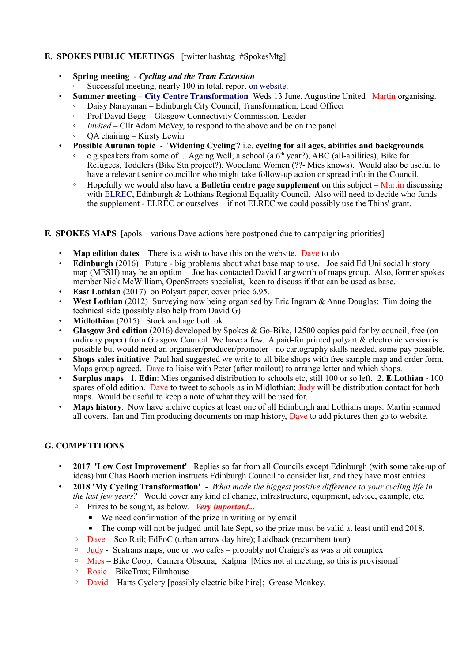## **E. SPOKES PUBLIC MEETINGS** [twitter hashtag #SpokesMtg]

- **Spring meeting** *Cycling and the Tram Extension*
	- Successful meeting, nearly 100 in total, report [on website.](http://www.spokes.org.uk/2018/03/west-east-cycleroute-to-end-at-pilrig-instead-of-leith-spokesmtg/)
- **Summer meeting – [City Centre Transformation](http://www.spokes.org.uk/2017/11/transforming-picardy-leith-st-and-the-city-centre/)** Weds 13 June, Augustine United Martin organising.
	- Daisy Narayanan Edinburgh City Council, Transformation, Lead Officer
	- Prof David Begg Glasgow Connectivity Commission, Leader
	- *Invited* Cllr Adam McVey, to respond to the above and be on the panel
	- QA chairing Kirsty Lewin
- **Possible Autumn topic** '**Widening Cycling**'? i.e. **cycling for all ages, abilities and backgrounds***.*
	- e.g.speakers from some of... Ageing Well, a school (a  $6<sup>th</sup>$  year?), ABC (all-abilities), Bike for Refugees, Toddlers (Bike Stn project?), Woodland Women (??- Mies knows). Would also be useful to have a relevant senior councillor who might take follow-up action or spread info in the Council.
	- Hopefully we would also have a **Bulletin centre page supplement** on this subject Martin discussing with [ELREC,](http://www.elrec.org.uk/) Edinburgh & Lothians Regional Equality Council. Also will need to decide who funds the supplement - ELREC or ourselves – if not ELREC we could possibly use the Thins' grant.

## **F. SPOKES MAPS** [apols – various Dave actions here postponed due to campaigning priorities]

- **Map edition dates** There is a wish to have this on the website. Dave to do.
- **Edinburgh** (2016) Future big problems about what base map to use. Joe said Ed Uni social history map (MESH) may be an option – Joe has contacted David Langworth of maps group. Also, former spokes member Nick McWilliam, OpenStreets specialist, keen to discuss if that can be used as base.
- **East Lothian** (2017) on Polyart paper, cover price 6.95.
- **West Lothian** (2012) Surveying now being organised by Eric Ingram & Anne Douglas; Tim doing the technical side (possibly also help from David G)
- **Midlothian** (2015) Stock and age both ok.
- **Glasgow 3rd edition** (2016) developed by Spokes & Go-Bike, 12500 copies paid for by council, free (on ordinary paper) from Glasgow Council. We have a few. A paid-for printed polyart & electronic version is possible but would need an organiser/producer/promoter - no cartography skills needed, some pay possible.
- **Shops sales initiative** Paul had suggested we write to all bike shops with free sample map and order form. Maps group agreed. Dave to liaise with Peter (after mailout) to arrange letter and which shops.
- **Surplus maps 1. Edin**: Mies organised distribution to schools etc, still 100 or so left. **2. E.Lothian** ~100 spares of old edition. Dave to tweet to schools as in Midlothian; Judy will be distribution contact for both maps. Would be useful to keep a note of what they will be used for.
- **Maps history**. Now have archive copies at least one of all Edinburgh and Lothians maps. Martin scanned all covers. Ian and Tim producing documents on map history, Dave to add pictures then go to website.

# **G. COMPETITIONS**

- **2017 'Low Cost Improvement'** Replies so far from all Councils except Edinburgh (with some take-up of ideas) but Chas Booth motion instructs Edinburgh Council to consider list, and they have most entries.
- **2018 'My Cycling Transformation'**  *What made the biggest positive difference to your cycling life in the last few years?* Would cover any kind of change, infrastructure, equipment, advice, example, etc.
	- Prizes to be sought, as below. *Very important...*
		- We need confirmation of the prize in writing or by email
		- The comp will not be judged until late Sept, so the prize must be valid at least until end 2018.
	- Dave ScotRail; EdFoC (urban arrow day hire); Laidback (recumbent tour)
	- Judy Sustrans maps; one or two cafes probably not Craigie's as was a bit complex
	- Mies Bike Coop; Camera Obscura; Kalpna [Mies not at meeting, so this is provisional]
	- Rosie BikeTrax; Filmhouse
	- David Harts Cyclery [possibly electric bike hire]; Grease Monkey.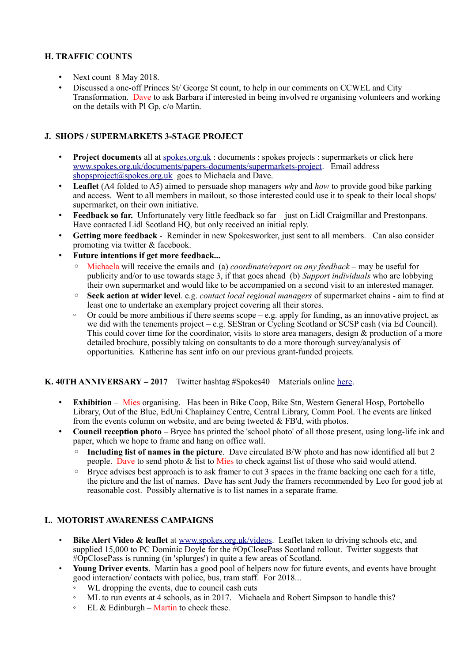## **H. TRAFFIC COUNTS**

- Next count 8 May 2018.
- Discussed a one-off Princes St/ George St count, to help in our comments on CCWEL and City Transformation. Dave to ask Barbara if interested in being involved re organising volunteers and working on the details with Pl Gp, c/o Martin.

## **J. SHOPS / SUPERMARKETS 3-STAGE PROJECT**

- **Project documents** all at spokes.org.uk: documents : spokes projects : supermarkets or click here [www.spokes.org.uk/documents/papers-documents/supermarkets-project.](http://www.spokes.org.uk/documents/papers-documents/supermarkets-project) Email address [shopsproject@spokes.org.uk](mailto:shopsproject@spokes.org.uk) goes to Michaela and Dave.
- **Leaflet** (A4 folded to A5) aimed to persuade shop managers *why* and *how* to provide good bike parking and access. Went to all members in mailout, so those interested could use it to speak to their local shops/ supermarket, on their own initiative.
- **Feedback so far.** Unfortunately very little feedback so far just on Lidl Craigmillar and Prestonpans. Have contacted Lidl Scotland HQ, but only received an initial reply.
- **Getting more feedback** Reminder in new Spokesworker, just sent to all members. Can also consider promoting via twitter & facebook.
- **Future intentions if get more feedback...**
	- Michaela will receive the emails and (a) *coordinate/report on any feedback* may be useful for publicity and/or to use towards stage 3, if that goes ahead (b) *Support individuals* who are lobbying their own supermarket and would like to be accompanied on a second visit to an interested manager.
	- **Seek action at wider level**. e.g. *contact local regional managers* of supermarket chains aim to find at least one to undertake an exemplary project covering all their stores.
	- Or could be more ambitious if there seems scope e.g. apply for funding, as an innovative project, as we did with the tenements project – e.g. SEStran or Cycling Scotland or SCSP cash (via Ed Council). This could cover time for the coordinator, visits to store area managers, design & production of a more detailed brochure, possibly taking on consultants to do a more thorough survey/analysis of opportunities. Katherine has sent info on our previous grant-funded projects.

## **K. 40TH ANNIVERSARY – 2017** Twitter hashtag #Spokes40 Materials online [here.](http://www.spokes.org.uk/documents/odds-and-ends-may-be-exciting/spokes-history/)

- **Exhibition** Mies organising. Has been in Bike Coop, Bike Stn, Western General Hosp, Portobello Library, Out of the Blue, EdUni Chaplaincy Centre, Central Library, Comm Pool. The events are linked from the events column on website, and are being tweeted & FB'd, with photos.
- **Council reception photo** Bryce has printed the 'school photo' of all those present, using long-life ink and paper, which we hope to frame and hang on office wall.
	- **Including list of names in the picture**. Dave circulated B/W photo and has now identified all but 2 people. Dave to send photo  $\&$  list to Mies to check against list of those who said would attend.
	- Bryce advises best approach is to ask framer to cut 3 spaces in the frame backing one each for a title, the picture and the list of names. Dave has sent Judy the framers recommended by Leo for good job at reasonable cost. Possibly alternative is to list names in a separate frame.

## **L. MOTORIST AWARENESS CAMPAIGNS**

- **Bike Alert Video & leaflet** at [www.spokes.org.uk/videos.](http://www.spokes.org.uk/videos) Leaflet taken to driving schools etc, and supplied 15,000 to PC Dominic Doyle for the #OpClosePass Scotland rollout. Twitter suggests that #OpClosePass is running (in 'splurges') in quite a few areas of Scotland.
- **Young Driver events**. Martin has a good pool of helpers now for future events, and events have brought good interaction/ contacts with police, bus, tram staff. For 2018...
	- WL dropping the events, due to council cash cuts
	- ML to run events at 4 schools, as in 2017. Michaela and Robert Simpson to handle this?
	- $\circ$  EL & Edinburgh Martin to check these.